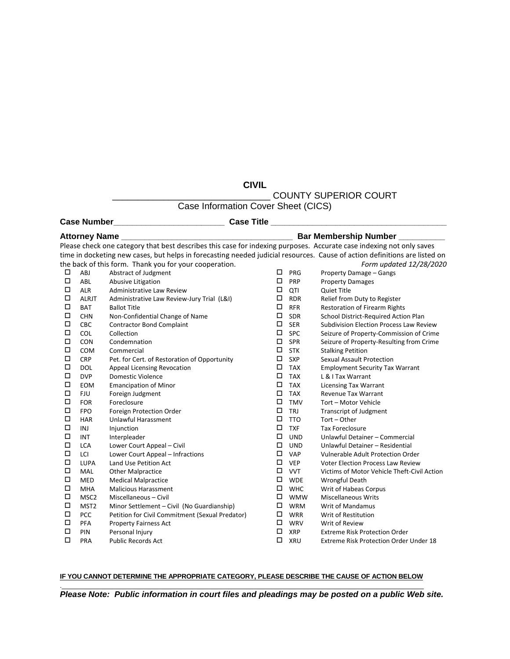**CIVIL**

\_\_\_\_\_\_\_\_\_\_\_\_\_\_\_\_\_\_\_\_\_\_\_\_\_\_\_\_\_\_\_ COUNTY SUPERIOR COURT

Case Information Cover Sheet (CICS)

**Case Number\_\_\_\_\_\_\_\_\_\_\_\_\_\_\_\_\_\_\_\_\_\_\_\_ Case Title \_\_\_\_\_\_\_\_\_\_\_\_\_\_\_\_\_\_\_\_\_\_\_\_\_\_\_\_\_\_\_\_\_\_\_\_\_\_**

| <b>Attorney Name</b> __                                                                                                    |                  |                                                                                                                      | Bar Membership Number ________ |            |                                             |  |  |
|----------------------------------------------------------------------------------------------------------------------------|------------------|----------------------------------------------------------------------------------------------------------------------|--------------------------------|------------|---------------------------------------------|--|--|
|                                                                                                                            |                  | Please check one category that best describes this case for indexing purposes. Accurate case indexing not only saves |                                |            |                                             |  |  |
| time in docketing new cases, but helps in forecasting needed judicial resources. Cause of action definitions are listed on |                  |                                                                                                                      |                                |            |                                             |  |  |
| the back of this form. Thank you for your cooperation.<br>Form updated 12/28/2020                                          |                  |                                                                                                                      |                                |            |                                             |  |  |
| П                                                                                                                          | ABJ              | Abstract of Judgment                                                                                                 | □                              | PRG        | Property Damage - Gangs                     |  |  |
| □                                                                                                                          | <b>ABL</b>       | Abusive Litigation                                                                                                   | □                              | PRP        | <b>Property Damages</b>                     |  |  |
| $\Box$                                                                                                                     | <b>ALR</b>       | Administrative Law Review                                                                                            | П                              | QTI        | <b>Quiet Title</b>                          |  |  |
| $\Box$                                                                                                                     | <b>ALRJT</b>     | Administrative Law Review-Jury Trial (L&I)                                                                           | П                              | <b>RDR</b> | Relief from Duty to Register                |  |  |
| $\Box$                                                                                                                     | <b>BAT</b>       | <b>Ballot Title</b>                                                                                                  | □                              | <b>RFR</b> | <b>Restoration of Firearm Rights</b>        |  |  |
| $\Box$                                                                                                                     | <b>CHN</b>       | Non-Confidential Change of Name                                                                                      | П                              | SDR        | School District-Required Action Plan        |  |  |
| $\Box$                                                                                                                     | CBC              | <b>Contractor Bond Complaint</b>                                                                                     | □                              | <b>SER</b> | Subdivision Election Process Law Review     |  |  |
| $\Box$                                                                                                                     | COL              | Collection                                                                                                           | □                              | SPC        | Seizure of Property-Commission of Crime     |  |  |
| $\Box$                                                                                                                     | CON              | Condemnation                                                                                                         | $\Box$                         | SPR        | Seizure of Property-Resulting from Crime    |  |  |
| $\Box$                                                                                                                     | COM              | Commercial                                                                                                           | П                              | <b>STK</b> | <b>Stalking Petition</b>                    |  |  |
| $\Box$                                                                                                                     | <b>CRP</b>       | Pet. for Cert. of Restoration of Opportunity                                                                         | □                              | <b>SXP</b> | <b>Sexual Assault Protection</b>            |  |  |
| □                                                                                                                          | <b>DOL</b>       | Appeal Licensing Revocation                                                                                          | □                              | <b>TAX</b> | <b>Employment Security Tax Warrant</b>      |  |  |
| $\Box$                                                                                                                     | <b>DVP</b>       | <b>Domestic Violence</b>                                                                                             | $\Box$                         | <b>TAX</b> | L & I Tax Warrant                           |  |  |
| □                                                                                                                          | EOM              | <b>Emancipation of Minor</b>                                                                                         | □                              | <b>TAX</b> | <b>Licensing Tax Warrant</b>                |  |  |
| $\Box$                                                                                                                     | <b>FJU</b>       | Foreign Judgment                                                                                                     | □                              | <b>TAX</b> | <b>Revenue Tax Warrant</b>                  |  |  |
| □                                                                                                                          | <b>FOR</b>       | Foreclosure                                                                                                          | □                              | <b>TMV</b> | Tort - Motor Vehicle                        |  |  |
| $\Box$                                                                                                                     | <b>FPO</b>       | Foreign Protection Order                                                                                             | □                              | <b>TRJ</b> | <b>Transcript of Judgment</b>               |  |  |
| $\Box$                                                                                                                     | <b>HAR</b>       | <b>Unlawful Harassment</b>                                                                                           | $\Box$                         | <b>TTO</b> | Tort - Other                                |  |  |
| □                                                                                                                          | INJ              | Injunction                                                                                                           | □                              | <b>TXF</b> | <b>Tax Foreclosure</b>                      |  |  |
| □                                                                                                                          | <b>INT</b>       | Interpleader                                                                                                         | □                              | <b>UND</b> | Unlawful Detainer - Commercial              |  |  |
| □                                                                                                                          | <b>LCA</b>       | Lower Court Appeal - Civil                                                                                           | □                              | <b>UND</b> | Unlawful Detainer - Residential             |  |  |
| □                                                                                                                          | LCI              | Lower Court Appeal - Infractions                                                                                     | □                              | <b>VAP</b> | Vulnerable Adult Protection Order           |  |  |
| □                                                                                                                          | LUPA             | Land Use Petition Act                                                                                                | □                              | <b>VEP</b> | <b>Voter Election Process Law Review</b>    |  |  |
| □                                                                                                                          | MAL              | <b>Other Malpractice</b>                                                                                             | □                              | <b>VVT</b> | Victims of Motor Vehicle Theft-Civil Action |  |  |
| □                                                                                                                          | <b>MED</b>       | <b>Medical Malpractice</b>                                                                                           | □                              | <b>WDE</b> | Wrongful Death                              |  |  |
| □                                                                                                                          | <b>MHA</b>       | <b>Malicious Harassment</b>                                                                                          | □                              | <b>WHC</b> | Writ of Habeas Corpus                       |  |  |
| □                                                                                                                          | MSC <sub>2</sub> | Miscellaneous - Civil                                                                                                | □                              | <b>WMW</b> | <b>Miscellaneous Writs</b>                  |  |  |
| □                                                                                                                          | MST <sub>2</sub> | Minor Settlement - Civil (No Guardianship)                                                                           | □                              | <b>WRM</b> | Writ of Mandamus                            |  |  |
| □                                                                                                                          | PCC              | Petition for Civil Commitment (Sexual Predator)                                                                      | □                              | <b>WRR</b> | Writ of Restitution                         |  |  |
| □                                                                                                                          | PFA              | <b>Property Fairness Act</b>                                                                                         | □                              | <b>WRV</b> | Writ of Review                              |  |  |
| □                                                                                                                          | PIN              | Personal Injury                                                                                                      | П                              | <b>XRP</b> | <b>Extreme Risk Protection Order</b>        |  |  |
| $\Box$                                                                                                                     | PRA              | <b>Public Records Act</b>                                                                                            | □                              | <b>XRU</b> | Extreme Risk Protection Order Under 18      |  |  |

## **IF YOU CANNOT DETERMINE THE APPROPRIATE CATEGORY, PLEASE DESCRIBE THE CAUSE OF ACTION BELOW** .\_\_\_\_\_\_\_\_\_\_\_\_\_\_\_\_\_\_\_\_\_\_\_\_\_\_\_\_\_\_\_\_\_\_\_\_\_\_\_\_\_\_\_\_\_\_\_\_\_\_\_\_\_\_\_\_\_\_\_\_\_\_\_\_\_\_\_\_\_\_\_\_\_\_\_\_\_\_\_\_\_\_\_\_\_\_\_\_\_\_\_\_\_\_\_\_\_\_\_\_

*Please Note: Public information in court files and pleadings may be posted on a public Web site.*